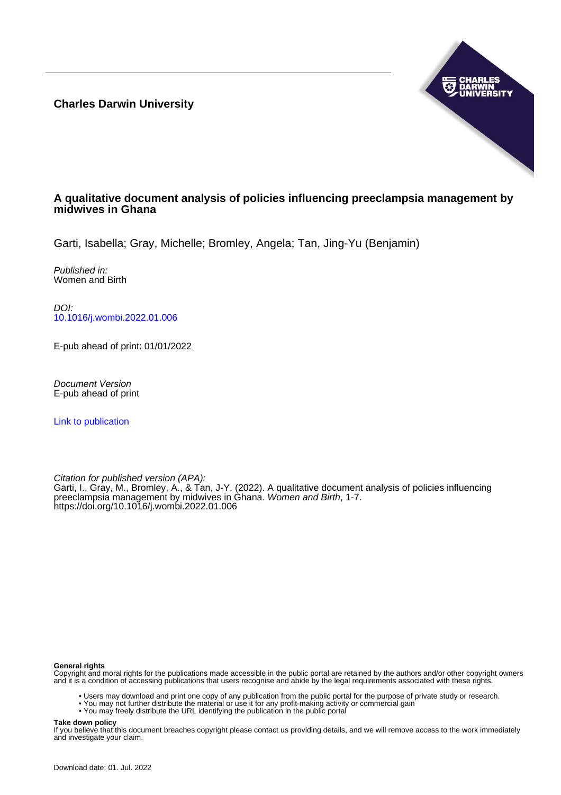**Charles Darwin University**



# **A qualitative document analysis of policies influencing preeclampsia management by midwives in Ghana**

Garti, Isabella; Gray, Michelle; Bromley, Angela; Tan, Jing-Yu (Benjamin)

Published in: Women and Birth

DOI: [10.1016/j.wombi.2022.01.006](https://doi.org/10.1016/j.wombi.2022.01.006)

E-pub ahead of print: 01/01/2022

Document Version E-pub ahead of print

[Link to publication](https://researchers.cdu.edu.au/en/publications/1efe6c65-f920-41e4-bd19-be2354a4f474)

Citation for published version (APA):

Garti, I., Gray, M., Bromley, A., & Tan, J-Y. (2022). A qualitative document analysis of policies influencing preeclampsia management by midwives in Ghana. Women and Birth, 1-7. <https://doi.org/10.1016/j.wombi.2022.01.006>

### **General rights**

Copyright and moral rights for the publications made accessible in the public portal are retained by the authors and/or other copyright owners and it is a condition of accessing publications that users recognise and abide by the legal requirements associated with these rights.

- Users may download and print one copy of any publication from the public portal for the purpose of private study or research.
- You may not further distribute the material or use it for any profit-making activity or commercial gain
- You may freely distribute the URL identifying the publication in the public portal

#### **Take down policy**

If you believe that this document breaches copyright please contact us providing details, and we will remove access to the work immediately and investigate your claim.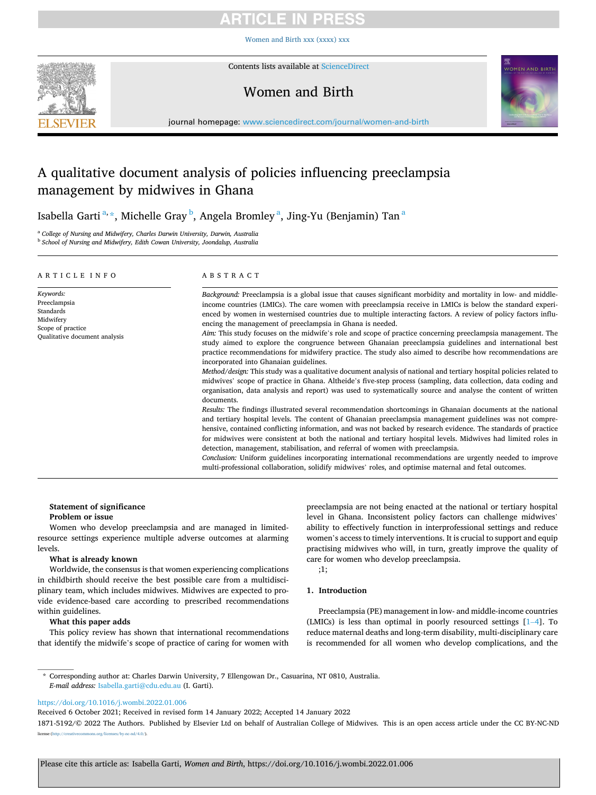# ICI E

[Women and Birth xxx \(xxxx\) xxx](https://doi.org/10.1016/j.wombi.2022.01.006)



Contents lists available at [ScienceDirect](www.sciencedirect.com/science/journal/18715192)

# Women and Birth



journal homepage: [www.sciencedirect.com/journal/women-and-birth](https://www.sciencedirect.com/journal/women-and-birth)

# A qualitative document analysis of policies influencing preeclampsia management by midwives in Ghana

Isabella Garti $\mathrm{^{a,\ast},}$  Michelle Gray $\mathrm{^{b},}$  Angela Bromley $\mathrm{^{a},}$  Jing-Yu (Benjamin) Tan $\mathrm{^{a}}$ 

<sup>a</sup> *College of Nursing and Midwifery, Charles Darwin University, Darwin, Australia* 

<sup>b</sup> *School of Nursing and Midwifery, Edith Cowan University, Joondalup, Australia* 

| ARTICLE INFO                                                                                              | ABSTRACT                                                                                                                                                                                                                                                                                                                                                                                                                                                                                                                                                                                                                                                                                                                                                                                                                                                                                                                                                                                                                                                                                                                                                                                                                                                                                                                                                                                                                                                                                                                                                                                                                                                                                                                                                                                                                      |
|-----------------------------------------------------------------------------------------------------------|-------------------------------------------------------------------------------------------------------------------------------------------------------------------------------------------------------------------------------------------------------------------------------------------------------------------------------------------------------------------------------------------------------------------------------------------------------------------------------------------------------------------------------------------------------------------------------------------------------------------------------------------------------------------------------------------------------------------------------------------------------------------------------------------------------------------------------------------------------------------------------------------------------------------------------------------------------------------------------------------------------------------------------------------------------------------------------------------------------------------------------------------------------------------------------------------------------------------------------------------------------------------------------------------------------------------------------------------------------------------------------------------------------------------------------------------------------------------------------------------------------------------------------------------------------------------------------------------------------------------------------------------------------------------------------------------------------------------------------------------------------------------------------------------------------------------------------|
| Keywords:<br>Preeclampsia<br>Standards<br>Midwifery<br>Scope of practice<br>Qualitative document analysis | Background: Preeclampsia is a global issue that causes significant morbidity and mortality in low- and middle-<br>income countries (LMICs). The care women with preeclampsia receive in LMICs is below the standard experi-<br>enced by women in westernised countries due to multiple interacting factors. A review of policy factors influ-<br>encing the management of preeclampsia in Ghana is needed.<br>Aim: This study focuses on the midwife's role and scope of practice concerning preeclampsia management. The<br>study aimed to explore the congruence between Ghanaian preeclampsia guidelines and international best<br>practice recommendations for midwifery practice. The study also aimed to describe how recommendations are<br>incorporated into Ghanaian guidelines.<br>Method/design: This study was a qualitative document analysis of national and tertiary hospital policies related to<br>midwives' scope of practice in Ghana. Altheide's five-step process (sampling, data collection, data coding and<br>organisation, data analysis and report) was used to systematically source and analyse the content of written<br>documents.<br>Results: The findings illustrated several recommendation shortcomings in Ghanaian documents at the national<br>and tertiary hospital levels. The content of Ghanaian preeclampsia management guidelines was not compre-<br>hensive, contained conflicting information, and was not backed by research evidence. The standards of practice<br>for midwives were consistent at both the national and tertiary hospital levels. Midwives had limited roles in<br>detection, management, stabilisation, and referral of women with preeclampsia.<br>Conclusion: Uniform guidelines incorporating international recommendations are urgently needed to improve |
|                                                                                                           | multi-professional collaboration, solidify midwives' roles, and optimise maternal and fetal outcomes.                                                                                                                                                                                                                                                                                                                                                                                                                                                                                                                                                                                                                                                                                                                                                                                                                                                                                                                                                                                                                                                                                                                                                                                                                                                                                                                                                                                                                                                                                                                                                                                                                                                                                                                         |

#### **Statement of significance**

**Problem or issue** 

Women who develop preeclampsia and are managed in limitedresource settings experience multiple adverse outcomes at alarming levels.

# **What is already known**

Worldwide, the consensus is that women experiencing complications in childbirth should receive the best possible care from a multidisciplinary team, which includes midwives. Midwives are expected to provide evidence-based care according to prescribed recommendations within guidelines.

### **What this paper adds**

This policy review has shown that international recommendations that identify the midwife's scope of practice of caring for women with preeclampsia are not being enacted at the national or tertiary hospital level in Ghana. Inconsistent policy factors can challenge midwives' ability to effectively function in interprofessional settings and reduce women's access to timely interventions. It is crucial to support and equip practising midwives who will, in turn, greatly improve the quality of care for women who develop preeclampsia.

;1;

# **1. Introduction**

Preeclampsia (PE) management in low- and middle-income countries (LMICs) is less than optimal in poorly resourced settings [1–[4\]](#page-6-0). To reduce maternal deaths and long-term disability, multi-disciplinary care is recommended for all women who develop complications, and the

\* Corresponding author at: Charles Darwin University, 7 Ellengowan Dr., Casuarina, NT 0810, Australia. *E-mail address:* [Isabella.garti@cdu.edu.au](mailto:Isabella.garti@cdu.edu.au) (I. Garti).

<https://doi.org/10.1016/j.wombi.2022.01.006>

Received 6 October 2021; Received in revised form 14 January 2022; Accepted 14 January 2022

1871-5192/© 2022 The Authors. Published by Elsevier Ltd on behalf of Australian College of Midwives. This is an open access article under the CC BY-NC-ND mons.org/licenses/by-nc-nd/4.0/).

Please cite this article as: Isabella Garti, *Women and Birth*, https://doi.org/10.1016/j.wombi.2022.01.006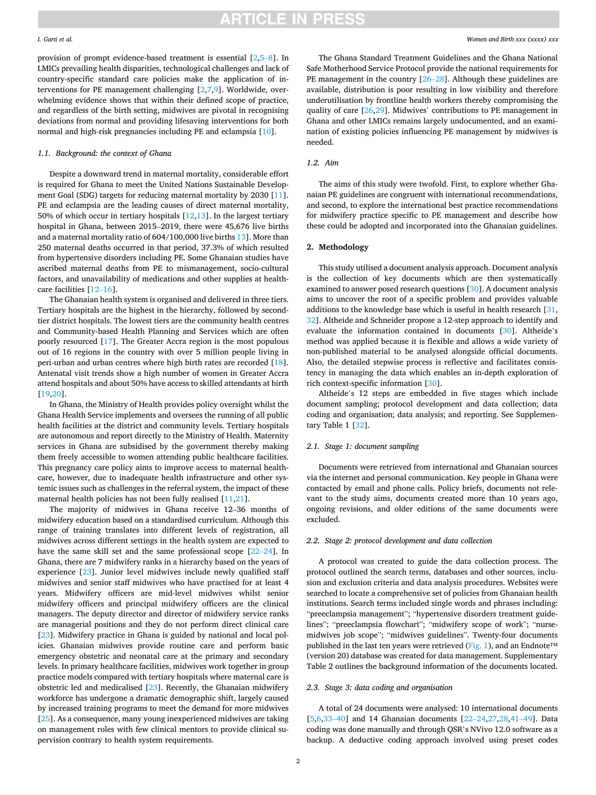provision of prompt evidence-based treatment is essential [\[2,](#page-6-0)5–[8\]](#page-6-0). In LMICs prevailing health disparities, technological challenges and lack of country-specific standard care policies make the application of interventions for PE management challenging [\[2,7,9](#page-6-0)]. Worldwide, overwhelming evidence shows that within their defined scope of practice, and regardless of the birth setting, midwives are pivotal in recognising deviations from normal and providing lifesaving interventions for both normal and high-risk pregnancies including PE and eclampsia [\[10\]](#page-6-0).

# *1.1. Background: the context of Ghana*

Despite a downward trend in maternal mortality, considerable effort is required for Ghana to meet the United Nations Sustainable Development Goal (SDG) targets for reducing maternal mortality by 2030 [\[11](#page-6-0)]. PE and eclampsia are the leading causes of direct maternal mortality, 50% of which occur in tertiary hospitals [\[12](#page-6-0),[13\]](#page-6-0). In the largest tertiary hospital in Ghana, between 2015–2019, there were 45,676 live births and a maternal mortality ratio of 604/100,000 live births [13\]](#page-6-0). More than 250 maternal deaths occurred in that period, 37.3% of which resulted from hypertensive disorders including PE. Some Ghanaian studies have ascribed maternal deaths from PE to mismanagement, socio-cultural factors, and unavailability of medications and other supplies at healthcare facilities [\[12](#page-6-0)–16].

The Ghanaian health system is organised and delivered in three tiers. Tertiary hospitals are the highest in the hierarchy, followed by secondtier district hospitals. The lowest tiers are the community health centres and Community-based Health Planning and Services which are often poorly resourced [[17\]](#page-6-0). The Greater Accra region is the most populous out of 16 regions in the country with over 5 million people living in peri-urban and urban centres where high birth rates are recorded [\[18](#page-6-0)]. Antenatal visit trends show a high number of women in Greater Accra attend hospitals and about 50% have access to skilled attendants at birth [[19,20](#page-6-0)].

In Ghana, the Ministry of Health provides policy oversight whilst the Ghana Health Service implements and oversees the running of all public health facilities at the district and community levels. Tertiary hospitals are autonomous and report directly to the Ministry of Health. Maternity services in Ghana are subsidised by the government thereby making them freely accessible to women attending public healthcare facilities. This pregnancy care policy aims to improve access to maternal healthcare, however, due to inadequate health infrastructure and other systemic issues such as challenges in the referral system, the impact of these maternal health policies has not been fully realised [\[11,21](#page-6-0)].

The majority of midwives in Ghana receive 12–36 months of midwifery education based on a standardised curriculum. Although this range of training translates into different levels of registration, all midwives across different settings in the health system are expected to have the same skill set and the same professional scope [\[22](#page-6-0)–24]. In Ghana, there are 7 midwifery ranks in a hierarchy based on the years of experience [\[23](#page-6-0)]. Junior level midwives include newly qualified staff midwives and senior staff midwives who have practised for at least 4 years. Midwifery officers are mid-level midwives whilst senior midwifery officers and principal midwifery officers are the clinical managers. The deputy director and director of midwifery service ranks are managerial positions and they do not perform direct clinical care [[23\]](#page-6-0). Midwifery practice in Ghana is guided by national and local policies. Ghanaian midwives provide routine care and perform basic emergency obstetric and neonatal care at the primary and secondary levels. In primary healthcare facilities, midwives work together in group practice models compared with tertiary hospitals where maternal care is obstetric led and medicalised [[23\]](#page-6-0). Recently, the Ghanaian midwifery workforce has undergone a dramatic demographic shift, largely caused by increased training programs to meet the demand for more midwives [[25\]](#page-6-0). As a consequence, many young inexperienced midwives are taking on management roles with few clinical mentors to provide clinical supervision contrary to health system requirements.

The Ghana Standard Treatment Guidelines and the Ghana National Safe Motherhood Service Protocol provide the national requirements for PE management in the country [\[26](#page-6-0)–28]. Although these guidelines are available, distribution is poor resulting in low visibility and therefore underutilisation by frontline health workers thereby compromising the quality of care [\[26,29](#page-6-0)]. Midwives' contributions to PE management in Ghana and other LMICs remains largely undocumented, and an examination of existing policies influencing PE management by midwives is needed.

# *1.2. Aim*

The aims of this study were twofold. First, to explore whether Ghanaian PE guidelines are congruent with international recommendations, and second, to explore the international best practice recommendations for midwifery practice specific to PE management and describe how these could be adopted and incorporated into the Ghanaian guidelines.

# **2. Methodology**

This study utilised a document analysis approach. Document analysis is the collection of key documents which are then systematically examined to answer posed research questions [[30\]](#page-6-0). A document analysis aims to uncover the root of a specific problem and provides valuable additions to the knowledge base which is useful in health research [\[31](#page-7-0), [32\]](#page-7-0). Altheide and Schneider propose a 12-step approach to identify and evaluate the information contained in documents [[30](#page-6-0)]. Altheide's method was applied because it is flexible and allows a wide variety of non-published material to be analysed alongside official documents. Also, the detailed stepwise process is reflective and facilitates consistency in managing the data which enables an in-depth exploration of rich context-specific information [[30\]](#page-6-0).

Altheide's 12 steps are embedded in five stages which include document sampling; protocol development and data collection; data coding and organisation; data analysis; and reporting. See Supplementary Table 1 [\[32](#page-7-0)].

#### *2.1. Stage 1: document sampling*

Documents were retrieved from international and Ghanaian sources via the internet and personal communication. Key people in Ghana were contacted by email and phone calls. Policy briefs, documents not relevant to the study aims, documents created more than 10 years ago, ongoing revisions, and older editions of the same documents were excluded.

#### *2.2. Stage 2: protocol development and data collection*

A protocol was created to guide the data collection process. The protocol outlined the search terms, databases and other sources, inclusion and exclusion criteria and data analysis procedures. Websites were searched to locate a comprehensive set of policies from Ghanaian health institutions. Search terms included single words and phrases including: "preeclampsia management"; "hypertensive disorders treatment guidelines"; "preeclampsia flowchart"; "midwifery scope of work"; "nursemidwives job scope"; "midwives guidelines". Twenty-four documents published in the last ten years were retrieved [\(Fig. 1](#page-3-0)), and an Endnote<sup>™</sup> (version 20) database was created for data management. Supplementary Table 2 outlines the background information of the documents located.

### *2.3. Stage 3: data coding and organisation*

A total of 24 documents were analysed: 10 international documents [[5](#page-6-0),[6](#page-6-0)[,33](#page-7-0)–40] and 14 Ghanaian documents [22–[24,27,28](#page-6-0)[,41](#page-7-0)–49]. Data coding was done manually and through QSR's NVivo 12.0 software as a backup. A deductive coding approach involved using preset codes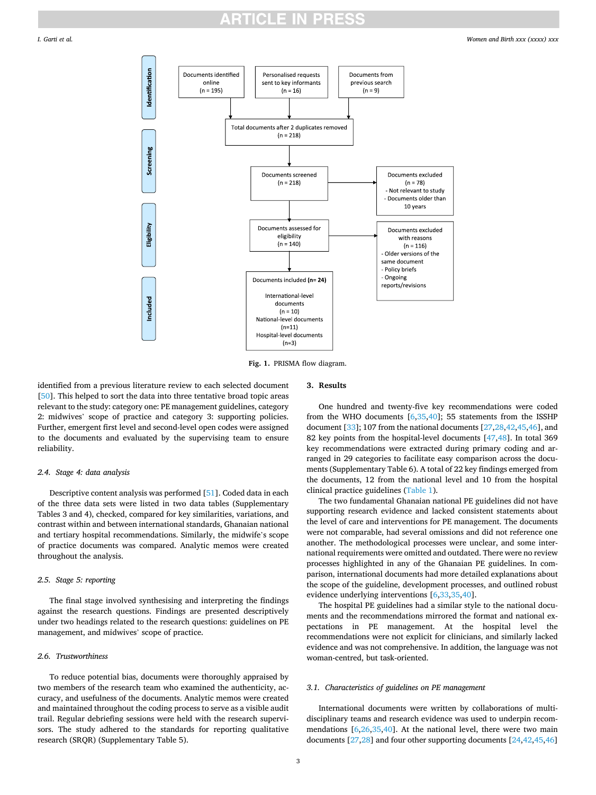<span id="page-3-0"></span>

**Fig. 1.** PRISMA flow diagram.

identified from a previous literature review to each selected document [[50\]](#page-7-0). This helped to sort the data into three tentative broad topic areas relevant to the study: category one: PE management guidelines, category 2: midwives' scope of practice and category 3: supporting policies. Further, emergent first level and second-level open codes were assigned to the documents and evaluated by the supervising team to ensure reliability.

#### *2.4. Stage 4: data analysis*

Descriptive content analysis was performed [\[51](#page-7-0)]. Coded data in each of the three data sets were listed in two data tables (Supplementary Tables 3 and 4), checked, compared for key similarities, variations, and contrast within and between international standards, Ghanaian national and tertiary hospital recommendations. Similarly, the midwife's scope of practice documents was compared. Analytic memos were created throughout the analysis.

# *2.5. Stage 5: reporting*

The final stage involved synthesising and interpreting the findings against the research questions. Findings are presented descriptively under two headings related to the research questions: guidelines on PE management, and midwives' scope of practice.

#### *2.6. Trustworthiness*

To reduce potential bias, documents were thoroughly appraised by two members of the research team who examined the authenticity, accuracy, and usefulness of the documents. Analytic memos were created and maintained throughout the coding process to serve as a visible audit trail. Regular debriefing sessions were held with the research supervisors. The study adhered to the standards for reporting qualitative research (SRQR) (Supplementary Table 5).

#### **3. Results**

One hundred and twenty-five key recommendations were coded from the WHO documents [\[6,](#page-6-0)[35,40](#page-7-0)]; 55 statements from the ISSHP document [[33\]](#page-7-0); 107 from the national documents [\[27](#page-6-0),[28,](#page-6-0)[42,45,46](#page-7-0)], and 82 key points from the hospital-level documents [[47](#page-7-0),[48\]](#page-7-0). In total 369 key recommendations were extracted during primary coding and arranged in 29 categories to facilitate easy comparison across the documents (Supplementary Table 6). A total of 22 key findings emerged from the documents, 12 from the national level and 10 from the hospital clinical practice guidelines [\(Table 1\)](#page-4-0).

The two fundamental Ghanaian national PE guidelines did not have supporting research evidence and lacked consistent statements about the level of care and interventions for PE management. The documents were not comparable, had several omissions and did not reference one another. The methodological processes were unclear, and some international requirements were omitted and outdated. There were no review processes highlighted in any of the Ghanaian PE guidelines. In comparison, international documents had more detailed explanations about the scope of the guideline, development processes, and outlined robust evidence underlying interventions [[6](#page-6-0),[33,35,40](#page-7-0)].

The hospital PE guidelines had a similar style to the national documents and the recommendations mirrored the format and national expectations in PE management. At the hospital level the recommendations were not explicit for clinicians, and similarly lacked evidence and was not comprehensive. In addition, the language was not woman-centred, but task-oriented.

#### *3.1. Characteristics of guidelines on PE management*

International documents were written by collaborations of multidisciplinary teams and research evidence was used to underpin recommendations  $[6,26,35,40]$  $[6,26,35,40]$  $[6,26,35,40]$ . At the national level, there were two main documents [\[27,28](#page-6-0)] and four other supporting documents [[24,](#page-6-0)[42,45,46](#page-7-0)]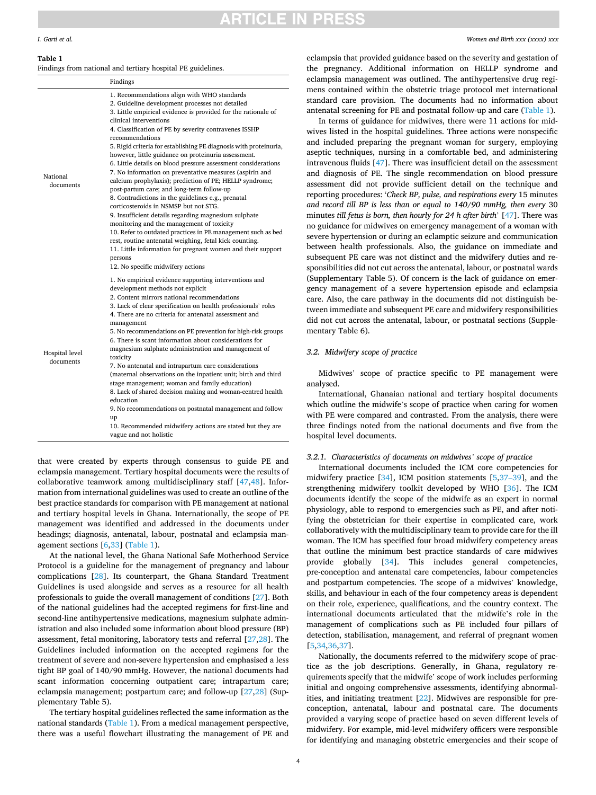# **ITICLE IN PRES**

#### *Women and Birth xxx (xxxx) xxx*

#### <span id="page-4-0"></span>**Table 1**

Findings from national and tertiary hospital PE guidelines.

|                             | Findings                                                                                                                                                                                                                                                                                                                                                                                                                                                                                                                                                                                                                                                                                                                                                                                                                                                                                                                                                                                                                                                                           |
|-----------------------------|------------------------------------------------------------------------------------------------------------------------------------------------------------------------------------------------------------------------------------------------------------------------------------------------------------------------------------------------------------------------------------------------------------------------------------------------------------------------------------------------------------------------------------------------------------------------------------------------------------------------------------------------------------------------------------------------------------------------------------------------------------------------------------------------------------------------------------------------------------------------------------------------------------------------------------------------------------------------------------------------------------------------------------------------------------------------------------|
| National<br>documents       | 1. Recommendations align with WHO standards<br>2. Guideline development processes not detailed<br>3. Little empirical evidence is provided for the rationale of<br>clinical interventions<br>4. Classification of PE by severity contravenes ISSHP<br>recommendations<br>5. Rigid criteria for establishing PE diagnosis with proteinuria,<br>however, little guidance on proteinuria assessment.<br>6. Little details on blood pressure assessment considerations<br>7. No information on preventative measures (aspirin and<br>calcium prophylaxis); prediction of PE; HELLP syndrome;<br>post-partum care; and long-term follow-up<br>8. Contradictions in the guidelines e.g., prenatal<br>corticosteroids in NSMSP but not STG.<br>9. Insufficient details regarding magnesium sulphate<br>monitoring and the management of toxicity<br>10. Refer to outdated practices in PE management such as bed<br>rest, routine antenatal weighing, fetal kick counting.<br>11. Little information for pregnant women and their support<br>persons<br>12. No specific midwifery actions |
| Hospital level<br>documents | 1. No empirical evidence supporting interventions and<br>development methods not explicit<br>2. Content mirrors national recommendations<br>3. Lack of clear specification on health professionals' roles<br>4. There are no criteria for antenatal assessment and<br>management<br>5. No recommendations on PE prevention for high-risk groups<br>6. There is scant information about considerations for<br>magnesium sulphate administration and management of<br>toxicity<br>7. No antenatal and intrapartum care considerations<br>(maternal observations on the inpatient unit; birth and third<br>stage management; woman and family education)<br>8. Lack of shared decision making and woman-centred health<br>education<br>9. No recommendations on postnatal management and follow<br>up<br>10. Recommended midwifery actions are stated but they are<br>vague and not holistic                                                                                                                                                                                          |

that were created by experts through consensus to guide PE and eclampsia management. Tertiary hospital documents were the results of collaborative teamwork among multidisciplinary staff [[47,48\]](#page-7-0). Information from international guidelines was used to create an outline of the best practice standards for comparison with PE management at national and tertiary hospital levels in Ghana. Internationally, the scope of PE management was identified and addressed in the documents under headings; diagnosis, antenatal, labour, postnatal and eclampsia management sections [[6](#page-6-0)[,33](#page-7-0)] (Table 1).

At the national level, the Ghana National Safe Motherhood Service Protocol is a guideline for the management of pregnancy and labour complications [\[28](#page-6-0)]. Its counterpart, the Ghana Standard Treatment Guidelines is used alongside and serves as a resource for all health professionals to guide the overall management of conditions [\[27](#page-6-0)]. Both of the national guidelines had the accepted regimens for first-line and second-line antihypertensive medications, magnesium sulphate administration and also included some information about blood pressure (BP) assessment, fetal monitoring, laboratory tests and referral [\[27,28](#page-6-0)]. The Guidelines included information on the accepted regimens for the treatment of severe and non-severe hypertension and emphasised a less tight BP goal of 140/90 mmHg. However, the national documents had scant information concerning outpatient care; intrapartum care; eclampsia management; postpartum care; and follow-up [[27,28\]](#page-6-0) (Supplementary Table 5).

The tertiary hospital guidelines reflected the same information as the national standards (Table 1). From a medical management perspective, there was a useful flowchart illustrating the management of PE and

eclampsia that provided guidance based on the severity and gestation of the pregnancy. Additional information on HELLP syndrome and eclampsia management was outlined. The antihypertensive drug regimens contained within the obstetric triage protocol met international standard care provision. The documents had no information about antenatal screening for PE and postnatal follow-up and care (Table 1).

In terms of guidance for midwives, there were 11 actions for midwives listed in the hospital guidelines. Three actions were nonspecific and included preparing the pregnant woman for surgery, employing aseptic techniques, nursing in a comfortable bed, and administering intravenous fluids [[47\]](#page-7-0). There was insufficient detail on the assessment and diagnosis of PE. The single recommendation on blood pressure assessment did not provide sufficient detail on the technique and reporting procedures: '*Check BP, pulse, and respirations every* 15 minutes *and record till BP is less than or equal to 140/90 mmHg, then every* 30 minutes *till fetus is born, then hourly for 24 h after birth*' [[47\]](#page-7-0). There was no guidance for midwives on emergency management of a woman with severe hypertension or during an eclamptic seizure and communication between health professionals. Also, the guidance on immediate and subsequent PE care was not distinct and the midwifery duties and responsibilities did not cut across the antenatal, labour, or postnatal wards (Supplementary Table 5). Of concern is the lack of guidance on emergency management of a severe hypertension episode and eclampsia care. Also, the care pathway in the documents did not distinguish between immediate and subsequent PE care and midwifery responsibilities did not cut across the antenatal, labour, or postnatal sections (Supplementary Table 6).

#### *3.2. Midwifery scope of practice*

Midwives' scope of practice specific to PE management were analysed.

International, Ghanaian national and tertiary hospital documents which outline the midwife's scope of practice when caring for women with PE were compared and contrasted. From the analysis, there were three findings noted from the national documents and five from the hospital level documents.

### *3.2.1. Characteristics of documents on midwives' scope of practice*

International documents included the ICM core competencies for midwifery practice [[34\]](#page-7-0), ICM position statements [[5](#page-6-0)[,37](#page-7-0)–39], and the strengthening midwifery toolkit developed by WHO [[36\]](#page-7-0). The ICM documents identify the scope of the midwife as an expert in normal physiology, able to respond to emergencies such as PE, and after notifying the obstetrician for their expertise in complicated care, work collaboratively with the multidisciplinary team to provide care for the ill woman. The ICM has specified four broad midwifery competency areas that outline the minimum best practice standards of care midwives provide globally [[34\]](#page-7-0). This includes general competencies, pre-conception and antenatal care competencies, labour competencies and postpartum competencies. The scope of a midwives' knowledge, skills, and behaviour in each of the four competency areas is dependent on their role, experience, qualifications, and the country context. The international documents articulated that the midwife's role in the management of complications such as PE included four pillars of detection, stabilisation, management, and referral of pregnant women [[5](#page-6-0),[34,36,37](#page-7-0)].

Nationally, the documents referred to the midwifery scope of practice as the job descriptions. Generally, in Ghana, regulatory requirements specify that the midwife' scope of work includes performing initial and ongoing comprehensive assessments, identifying abnormalities, and initiating treatment [[22\]](#page-6-0). Midwives are responsible for preconception, antenatal, labour and postnatal care. The documents provided a varying scope of practice based on seven different levels of midwifery. For example, mid-level midwifery officers were responsible for identifying and managing obstetric emergencies and their scope of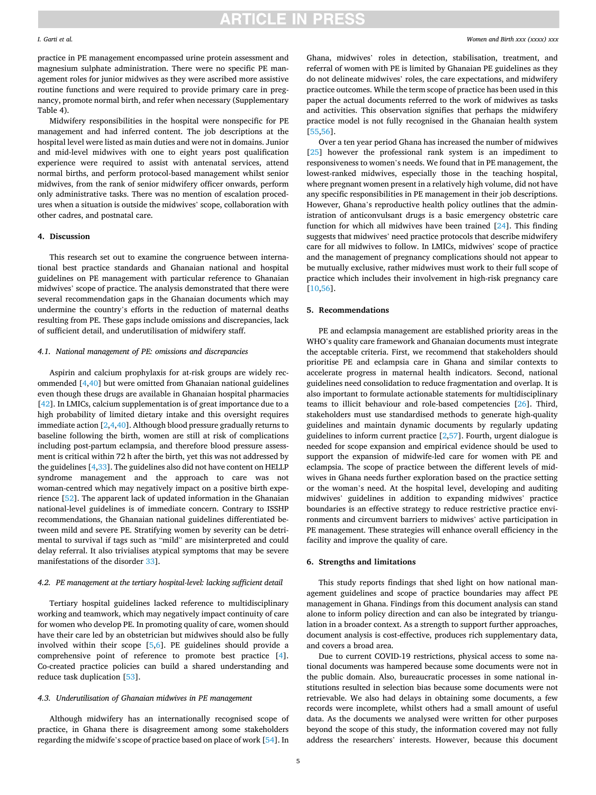# **ARTICLE IN PRESS**

#### *I. Garti et al.*

practice in PE management encompassed urine protein assessment and magnesium sulphate administration. There were no specific PE management roles for junior midwives as they were ascribed more assistive routine functions and were required to provide primary care in pregnancy, promote normal birth, and refer when necessary (Supplementary Table 4).

Midwifery responsibilities in the hospital were nonspecific for PE management and had inferred content. The job descriptions at the hospital level were listed as main duties and were not in domains. Junior and mid-level midwives with one to eight years post qualification experience were required to assist with antenatal services, attend normal births, and perform protocol-based management whilst senior midwives, from the rank of senior midwifery officer onwards, perform only administrative tasks. There was no mention of escalation procedures when a situation is outside the midwives' scope, collaboration with other cadres, and postnatal care.

## **4. Discussion**

This research set out to examine the congruence between international best practice standards and Ghanaian national and hospital guidelines on PE management with particular reference to Ghanaian midwives' scope of practice. The analysis demonstrated that there were several recommendation gaps in the Ghanaian documents which may undermine the country's efforts in the reduction of maternal deaths resulting from PE. These gaps include omissions and discrepancies, lack of sufficient detail, and underutilisation of midwifery staff.

#### *4.1. National management of PE: omissions and discrepancies*

Aspirin and calcium prophylaxis for at-risk groups are widely recommended [\[4](#page-6-0)[,40](#page-7-0)] but were omitted from Ghanaian national guidelines even though these drugs are available in Ghanaian hospital pharmacies [[42\]](#page-7-0). In LMICs, calcium supplementation is of great importance due to a high probability of limited dietary intake and this oversight requires immediate action  $[2,4,40]$  $[2,4,40]$ . Although blood pressure gradually returns to baseline following the birth, women are still at risk of complications including post-partum eclampsia, and therefore blood pressure assessment is critical within 72 h after the birth, yet this was not addressed by the guidelines [\[4,](#page-6-0)[33\]](#page-7-0). The guidelines also did not have content on HELLP syndrome management and the approach to care was not woman-centred which may negatively impact on a positive birth experience [[52\]](#page-7-0). The apparent lack of updated information in the Ghanaian national-level guidelines is of immediate concern. Contrary to ISSHP recommendations, the Ghanaian national guidelines differentiated between mild and severe PE. Stratifying women by severity can be detrimental to survival if tags such as "mild" are misinterpreted and could delay referral. It also trivialises atypical symptoms that may be severe manifestations of the disorder [33\]](#page-7-0).

### *4.2. PE management at the tertiary hospital-level: lacking sufficient detail*

Tertiary hospital guidelines lacked reference to multidisciplinary working and teamwork, which may negatively impact continuity of care for women who develop PE. In promoting quality of care, women should have their care led by an obstetrician but midwives should also be fully involved within their scope [\[5,6](#page-6-0)]. PE guidelines should provide a comprehensive point of reference to promote best practice [[4](#page-6-0)]. Co-created practice policies can build a shared understanding and reduce task duplication [\[53](#page-7-0)].

### *4.3. Underutilisation of Ghanaian midwives in PE management*

Although midwifery has an internationally recognised scope of practice, in Ghana there is disagreement among some stakeholders regarding the midwife's scope of practice based on place of work [\[54](#page-7-0)]. In

Ghana, midwives' roles in detection, stabilisation, treatment, and referral of women with PE is limited by Ghanaian PE guidelines as they do not delineate midwives' roles, the care expectations, and midwifery practice outcomes. While the term scope of practice has been used in this paper the actual documents referred to the work of midwives as tasks and activities. This observation signifies that perhaps the midwifery practice model is not fully recognised in the Ghanaian health system [[55,56](#page-7-0)].

Over a ten year period Ghana has increased the number of midwives [[25\]](#page-6-0) however the professional rank system is an impediment to responsiveness to women's needs. We found that in PE management, the lowest-ranked midwives, especially those in the teaching hospital, where pregnant women present in a relatively high volume, did not have any specific responsibilities in PE management in their job descriptions. However, Ghana's reproductive health policy outlines that the administration of anticonvulsant drugs is a basic emergency obstetric care function for which all midwives have been trained [[24\]](#page-6-0). This finding suggests that midwives' need practice protocols that describe midwifery care for all midwives to follow. In LMICs, midwives' scope of practice and the management of pregnancy complications should not appear to be mutually exclusive, rather midwives must work to their full scope of practice which includes their involvement in high-risk pregnancy care [[10](#page-6-0)[,56](#page-7-0)].

### **5. Recommendations**

PE and eclampsia management are established priority areas in the WHO's quality care framework and Ghanaian documents must integrate the acceptable criteria. First, we recommend that stakeholders should prioritise PE and eclampsia care in Ghana and similar contexts to accelerate progress in maternal health indicators. Second, national guidelines need consolidation to reduce fragmentation and overlap. It is also important to formulate actionable statements for multidisciplinary teams to illicit behaviour and role-based competencies [\[26](#page-6-0)]. Third, stakeholders must use standardised methods to generate high-quality guidelines and maintain dynamic documents by regularly updating guidelines to inform current practice [\[2,](#page-6-0)[57\]](#page-7-0). Fourth, urgent dialogue is needed for scope expansion and empirical evidence should be used to support the expansion of midwife-led care for women with PE and eclampsia. The scope of practice between the different levels of midwives in Ghana needs further exploration based on the practice setting or the woman's need. At the hospital level, developing and auditing midwives' guidelines in addition to expanding midwives' practice boundaries is an effective strategy to reduce restrictive practice environments and circumvent barriers to midwives' active participation in PE management. These strategies will enhance overall efficiency in the facility and improve the quality of care.

### **6. Strengths and limitations**

This study reports findings that shed light on how national management guidelines and scope of practice boundaries may affect PE management in Ghana. Findings from this document analysis can stand alone to inform policy direction and can also be integrated by triangulation in a broader context. As a strength to support further approaches, document analysis is cost-effective, produces rich supplementary data, and covers a broad area.

Due to current COVID-19 restrictions, physical access to some national documents was hampered because some documents were not in the public domain. Also, bureaucratic processes in some national institutions resulted in selection bias because some documents were not retrievable. We also had delays in obtaining some documents, a few records were incomplete, whilst others had a small amount of useful data. As the documents we analysed were written for other purposes beyond the scope of this study, the information covered may not fully address the researchers' interests. However, because this document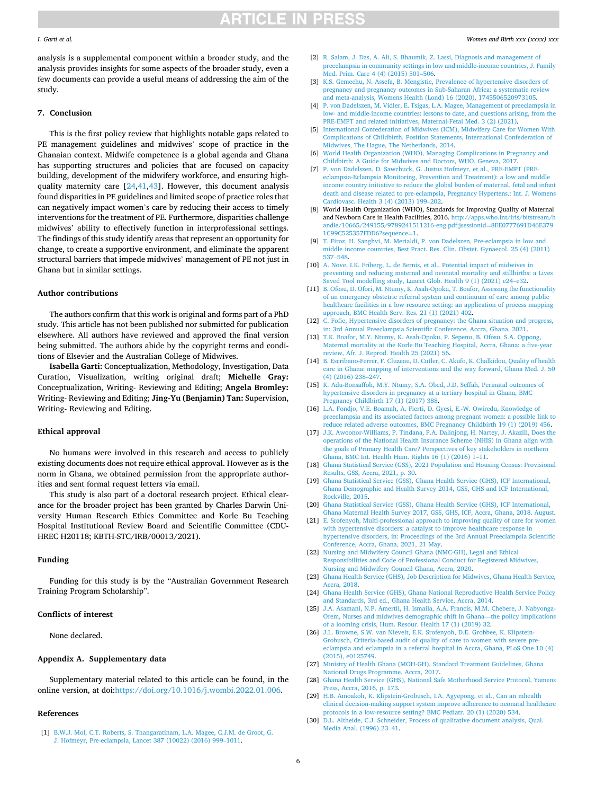# **ARTICLE IN PRESS**

#### <span id="page-6-0"></span>*I. Garti et al.*

analysis is a supplemental component within a broader study, and the analysis provides insights for some aspects of the broader study, even a few documents can provide a useful means of addressing the aim of the study.

#### **7. Conclusion**

This is the first policy review that highlights notable gaps related to PE management guidelines and midwives' scope of practice in the Ghanaian context. Midwife competence is a global agenda and Ghana has supporting structures and policies that are focused on capacity building, development of the midwifery workforce, and ensuring highquality maternity care  $[24, 41, 43]$ . However, this document analysis found disparities in PE guidelines and limited scope of practice roles that can negatively impact women's care by reducing their access to timely interventions for the treatment of PE. Furthermore, disparities challenge midwives' ability to effectively function in interprofessional settings. The findings of this study identify areas that represent an opportunity for change, to create a supportive environment, and eliminate the apparent structural barriers that impede midwives' management of PE not just in Ghana but in similar settings.

#### **Author contributions**

The authors confirm that this work is original and forms part of a PhD study. This article has not been published nor submitted for publication elsewhere. All authors have reviewed and approved the final version being submitted. The authors abide by the copyright terms and conditions of Elsevier and the Australian College of Midwives.

**Isabella Garti:** Conceptualization, Methodology, Investigation, Data Curation, Visualization, writing original draft; **Michelle Gray:**  Conceptualization, Writing- Reviewing and Editing; **Angela Bromley:**  Writing- Reviewing and Editing; **Jing-Yu (Benjamin) Tan:** Supervision, Writing- Reviewing and Editing.

# **Ethical approval**

No humans were involved in this research and access to publicly existing documents does not require ethical approval. However as is the norm in Ghana, we obtained permission from the appropriate authorities and sent formal request letters via email.

This study is also part of a doctoral research project. Ethical clearance for the broader project has been granted by Charles Darwin University Human Research Ethics Committee and Korle Bu Teaching Hospital Institutional Review Board and Scientific Committee (CDU-HREC H20118; KBTH-STC/IRB/00013/2021).

# **Funding**

Funding for this study is by the "Australian Government Research Training Program Scholarship".

#### **Conflicts of interest**

None declared.

#### **Appendix A. Supplementary data**

Supplementary material related to this article can be found, in the online version, at doi[:https://doi.org/10.1016/j.wombi.2022.01.006.](https://doi.org/10.1016/j.wombi.2022.01.006)

#### **References**

[1] [B.W.J. Mol, C.T. Roberts, S. Thangaratinam, L.A. Magee, C.J.M. de Groot, G.](http://refhub.elsevier.com/S1871-5192(22)00009-9/sbref0005) [J. Hofmeyr, Pre-eclampsia, Lancet 387 \(10022\) \(2016\) 999](http://refhub.elsevier.com/S1871-5192(22)00009-9/sbref0005)–1011.

- [2] [R. Salam, J. Das, A. Ali, S. Bhaumik, Z. Lassi, Diagnosis and management of](http://refhub.elsevier.com/S1871-5192(22)00009-9/sbref0010)  [preeclampsia in community settings in low and middle-income countries, J. Family](http://refhub.elsevier.com/S1871-5192(22)00009-9/sbref0010)  [Med. Prim. Care 4 \(4\) \(2015\) 501](http://refhub.elsevier.com/S1871-5192(22)00009-9/sbref0010)–506.
- [3] [K.S. Gemechu, N. Assefa, B. Mengistie, Prevalence of hypertensive disorders of](http://refhub.elsevier.com/S1871-5192(22)00009-9/sbref0015)  [pregnancy and pregnancy outcomes in Sub-Saharan Africa: a systematic review](http://refhub.elsevier.com/S1871-5192(22)00009-9/sbref0015)  [and meta-analysis, Womens Health \(Lond\) 16 \(2020\), 1745506520973105.](http://refhub.elsevier.com/S1871-5192(22)00009-9/sbref0015)
- [4] [P. von Dadelszen, M. Vidler, E. Tsigas, L.A. Magee, Management of preeclampsia in](http://refhub.elsevier.com/S1871-5192(22)00009-9/sbref0020)  [low- and middle-income countries: lessons to date, and questions arising, from the](http://refhub.elsevier.com/S1871-5192(22)00009-9/sbref0020)  [PRE-EMPT and related initiatives, Maternal-Fetal Med. 3 \(2\) \(2021\).](http://refhub.elsevier.com/S1871-5192(22)00009-9/sbref0020)
- [5] [International Confederation of Midwives \(ICM\), Midwifery Care for Women With](http://refhub.elsevier.com/S1871-5192(22)00009-9/sbref0025)  [Complications of Childbirth. Position Statements, International Confederation of](http://refhub.elsevier.com/S1871-5192(22)00009-9/sbref0025)  [Midwives, The Hague, The Netherlands, 2014.](http://refhub.elsevier.com/S1871-5192(22)00009-9/sbref0025)
- [6] [World Health Organization \(WHO\), Managing Complications in Pregnancy and](http://refhub.elsevier.com/S1871-5192(22)00009-9/sbref0030) [Childbirth: A Guide for Midwives and Doctors, WHO, Geneva, 2017.](http://refhub.elsevier.com/S1871-5192(22)00009-9/sbref0030)
- [7] [P. von Dadelszen, D. Sawchuck, G. Justus Hofmeyr, et al., PRE-EMPT \(PRE](http://refhub.elsevier.com/S1871-5192(22)00009-9/sbref0035)[eclampsia-Eclampsia Monitoring, Prevention and Treatment\): a low and middle](http://refhub.elsevier.com/S1871-5192(22)00009-9/sbref0035)  [income country initiative to reduce the global burden of maternal, fetal and infant](http://refhub.elsevier.com/S1871-5192(22)00009-9/sbref0035)  [death and disease related to pre-eclampsia, Pregnancy Hypertens.: Int. J. Womens](http://refhub.elsevier.com/S1871-5192(22)00009-9/sbref0035)  [Cardiovasc. Health 3 \(4\) \(2013\) 199](http://refhub.elsevier.com/S1871-5192(22)00009-9/sbref0035)–202.
- [8] World Health Organization (WHO), Standards for Improving Quality of Maternal and Newborn Care in Health Facilities, 2016. [http://apps.who.int/iris/bitstream/h](http://apps.who.int/iris/bitstream/handle/10665/249155/9789241511216-eng.pdf;jsessionid=8EE0777691D46E3791C99C525357FDD6?sequence=1)  [andle/10665/249155/9789241511216-eng.pdf;jsessionid](http://apps.who.int/iris/bitstream/handle/10665/249155/9789241511216-eng.pdf;jsessionid=8EE0777691D46E3791C99C525357FDD6?sequence=1)=8EE0777691D46E379 [1C99C525357FDD6?sequence](http://apps.who.int/iris/bitstream/handle/10665/249155/9789241511216-eng.pdf;jsessionid=8EE0777691D46E3791C99C525357FDD6?sequence=1)=1.
- [9] [T. Firoz, H. Sanghvi, M. Merialdi, P. von Dadelszen, Pre-eclampsia in low and](http://refhub.elsevier.com/S1871-5192(22)00009-9/sbref0045)  [middle income countries, Best Pract. Res. Clin. Obstet. Gynaecol. 25 \(4\) \(2011\)](http://refhub.elsevier.com/S1871-5192(22)00009-9/sbref0045)  537–[548.](http://refhub.elsevier.com/S1871-5192(22)00009-9/sbref0045)
- [10] [A. Nove, I.K. Friberg, L. de Bernis, et al., Potential impact of midwives in](http://refhub.elsevier.com/S1871-5192(22)00009-9/sbref0050)  [preventing and reducing maternal and neonatal mortality and stillbirths: a Lives](http://refhub.elsevier.com/S1871-5192(22)00009-9/sbref0050)  [Saved Tool modelling study, Lancet Glob. Health 9 \(1\) \(2021\) e24](http://refhub.elsevier.com/S1871-5192(22)00009-9/sbref0050)–e32.
- [11] [B. Ofosu, D. Ofori, M. Ntumy, K. Asah-Opoku, T. Boafor, Assessing the functionality](http://refhub.elsevier.com/S1871-5192(22)00009-9/sbref0055)  [of an emergency obstetric referral system and continuum of care among public](http://refhub.elsevier.com/S1871-5192(22)00009-9/sbref0055)  [healthcare facilities in a low resource setting: an application of process mapping](http://refhub.elsevier.com/S1871-5192(22)00009-9/sbref0055) [approach, BMC Health Serv. Res. 21 \(1\) \(2021\) 402.](http://refhub.elsevier.com/S1871-5192(22)00009-9/sbref0055)
- [12] [C. Fofie, Hypertensive disorders of pregnancy: the Ghana situation and progress,](http://refhub.elsevier.com/S1871-5192(22)00009-9/sbref0060) [in: 3rd Annual Preeclampsia Scientific Conference, Accra, Ghana, 2021](http://refhub.elsevier.com/S1871-5192(22)00009-9/sbref0060).
- [13] [T.K. Boafor, M.Y. Ntumy, K. Asah-Opoku, P. Sepenu, B. Ofosu, S.A. Oppong,](http://refhub.elsevier.com/S1871-5192(22)00009-9/sbref0065) [Maternal mortality at the Korle Bu Teaching Hospital, Accra, Ghana: a five-year](http://refhub.elsevier.com/S1871-5192(22)00009-9/sbref0065)  [review, Afr. J. Reprod. Health 25 \(2021\) 56.](http://refhub.elsevier.com/S1871-5192(22)00009-9/sbref0065)
- [14] [B. Escribano-Ferrer, F. Cluzeau, D. Cutler, C. Akufo, K. Chalkidou, Quality of health](http://refhub.elsevier.com/S1871-5192(22)00009-9/sbref0070)  [care in Ghana: mapping of interventions and the way forward, Ghana Med. J. 50](http://refhub.elsevier.com/S1871-5192(22)00009-9/sbref0070) [\(4\) \(2016\) 238](http://refhub.elsevier.com/S1871-5192(22)00009-9/sbref0070)–247.
- [15] [K. Adu-Bonsaffoh, M.Y. Ntumy, S.A. Obed, J.D. Seffah, Perinatal outcomes of](http://refhub.elsevier.com/S1871-5192(22)00009-9/sbref0075)  [hypertensive disorders in pregnancy at a tertiary hospital in Ghana, BMC](http://refhub.elsevier.com/S1871-5192(22)00009-9/sbref0075) [Pregnancy Childbirth 17 \(1\) \(2017\) 388.](http://refhub.elsevier.com/S1871-5192(22)00009-9/sbref0075)
- [16] [L.A. Fondjo, V.E. Boamah, A. Fierti, D. Gyesi, E.-W. Owiredu, Knowledge of](http://refhub.elsevier.com/S1871-5192(22)00009-9/sbref0080)  [preeclampsia and its associated factors among pregnant women: a possible link to](http://refhub.elsevier.com/S1871-5192(22)00009-9/sbref0080)  [reduce related adverse outcomes, BMC Pregnancy Childbirth 19 \(1\) \(2019\) 456](http://refhub.elsevier.com/S1871-5192(22)00009-9/sbref0080).
- [17] [J.K. Awoonor-Williams, P. Tindana, P.A. Dalinjong, H. Nartey, J. Akazili, Does the](http://refhub.elsevier.com/S1871-5192(22)00009-9/sbref0085)  [operations of the National Health Insurance Scheme \(NHIS\) in Ghana align with](http://refhub.elsevier.com/S1871-5192(22)00009-9/sbref0085)  [the goals of Primary Health Care? Perspectives of key stakeholders in northern](http://refhub.elsevier.com/S1871-5192(22)00009-9/sbref0085)  [Ghana, BMC Int. Health Hum. Rights 16 \(1\) \(2016\) 1](http://refhub.elsevier.com/S1871-5192(22)00009-9/sbref0085)–11.
- [18] [Ghana Statistical Service \(GSS\), 2021 Population and Housing Census: Provisional](http://refhub.elsevier.com/S1871-5192(22)00009-9/sbref0090)  [Results, GSS, Accra, 2021, p. 30.](http://refhub.elsevier.com/S1871-5192(22)00009-9/sbref0090)
- [19] [Ghana Statistical Service \(GSS\), Ghana Health Service \(GHS\), ICF International,](http://refhub.elsevier.com/S1871-5192(22)00009-9/sbref0095) [Ghana Demographic and Health Survey 2014, GSS, GHS and ICF International,](http://refhub.elsevier.com/S1871-5192(22)00009-9/sbref0095)  [Rockville, 2015.](http://refhub.elsevier.com/S1871-5192(22)00009-9/sbref0095)
- [20] [Ghana Statistical Service \(GSS\), Ghana Health Service \(GHS\), ICF International,](http://refhub.elsevier.com/S1871-5192(22)00009-9/sbref0100) [Ghana Maternal Health Survey 2017, GSS, GHS, ICF, Accra, Ghana, 2018. August.](http://refhub.elsevier.com/S1871-5192(22)00009-9/sbref0100)
- [21] [E. Srofenyoh, Multi-professional approach to improving quality of care for women](http://refhub.elsevier.com/S1871-5192(22)00009-9/sbref0105)  [with hypertensive disorders: a catalyst to improve healthcare response in](http://refhub.elsevier.com/S1871-5192(22)00009-9/sbref0105) [hypertensive disorders, in: Proceedings of the 3rd Annual Preeclampsia Scientific](http://refhub.elsevier.com/S1871-5192(22)00009-9/sbref0105)  [Conference, Accra, Ghana, 2021, 21 May](http://refhub.elsevier.com/S1871-5192(22)00009-9/sbref0105).
- [22] [Nursing and Midwifery Council Ghana \(NMC-GH\), Legal and Ethical](http://refhub.elsevier.com/S1871-5192(22)00009-9/sbref0110)  [Responsibilities and Code of Professional Conduct for Registered Midwives,](http://refhub.elsevier.com/S1871-5192(22)00009-9/sbref0110) [Nursing and Midwifery Council Ghana, Accra, 2020](http://refhub.elsevier.com/S1871-5192(22)00009-9/sbref0110).
- [23] [Ghana Health Service \(GHS\), Job Description for Midwives, Ghana Health Service,](http://refhub.elsevier.com/S1871-5192(22)00009-9/sbref0115)  [Accra, 2018](http://refhub.elsevier.com/S1871-5192(22)00009-9/sbref0115).
- [24] [Ghana Health Service \(GHS\), Ghana National Reproductive Health Service Policy](http://refhub.elsevier.com/S1871-5192(22)00009-9/sbref0120) [and Standards, 3rd ed., Ghana Health Service, Accra, 2014](http://refhub.elsevier.com/S1871-5192(22)00009-9/sbref0120).
- [25] [J.A. Asamani, N.P. Amertil, H. Ismaila, A.A. Francis, M.M. Chebere, J. Nabyonga-](http://refhub.elsevier.com/S1871-5192(22)00009-9/sbref0125)[Orem, Nurses and midwives demographic shift in Ghana](http://refhub.elsevier.com/S1871-5192(22)00009-9/sbref0125)—the policy implications [of a looming crisis, Hum. Resour. Health 17 \(1\) \(2019\) 32.](http://refhub.elsevier.com/S1871-5192(22)00009-9/sbref0125)
- [26] [J.L. Browne, S.W. van Nievelt, E.K. Srofenyoh, D.E. Grobbee, K. Klipstein-](http://refhub.elsevier.com/S1871-5192(22)00009-9/sbref0130)[Grobusch, Criteria-based audit of quality of care to women with severe pre](http://refhub.elsevier.com/S1871-5192(22)00009-9/sbref0130)[eclampsia and eclampsia in a referral hospital in Accra, Ghana, PLoS One 10 \(4\)](http://refhub.elsevier.com/S1871-5192(22)00009-9/sbref0130) [\(2015\), e0125749](http://refhub.elsevier.com/S1871-5192(22)00009-9/sbref0130).
- [27] [Ministry of Health Ghana \(MOH-GH\), Standard Treatment Guidelines, Ghana](http://refhub.elsevier.com/S1871-5192(22)00009-9/sbref0135) [National Drugs Programme, Accra, 2017.](http://refhub.elsevier.com/S1871-5192(22)00009-9/sbref0135)
- [28] [Ghana Health Service \(GHS\), National Safe Motherhood Service Protocol, Yamens](http://refhub.elsevier.com/S1871-5192(22)00009-9/sbref0140)  [Press, Accra, 2016, p. 173.](http://refhub.elsevier.com/S1871-5192(22)00009-9/sbref0140)
- [29] [H.B. Amoakoh, K. Klipstein-Grobusch, I.A. Agyepong, et al., Can an mhealth](http://refhub.elsevier.com/S1871-5192(22)00009-9/sbref0145) [clinical decision-making support system improve adherence to neonatal healthcare](http://refhub.elsevier.com/S1871-5192(22)00009-9/sbref0145)  [protocols in a low-resource setting? BMC Pediatr. 20 \(1\) \(2020\) 534](http://refhub.elsevier.com/S1871-5192(22)00009-9/sbref0145).
- [30] [D.L. Altheide, C.J. Schneider, Process of qualitative document analysis, Qual.](http://refhub.elsevier.com/S1871-5192(22)00009-9/sbref0150)  [Media Anal. \(1996\) 23](http://refhub.elsevier.com/S1871-5192(22)00009-9/sbref0150)–41.